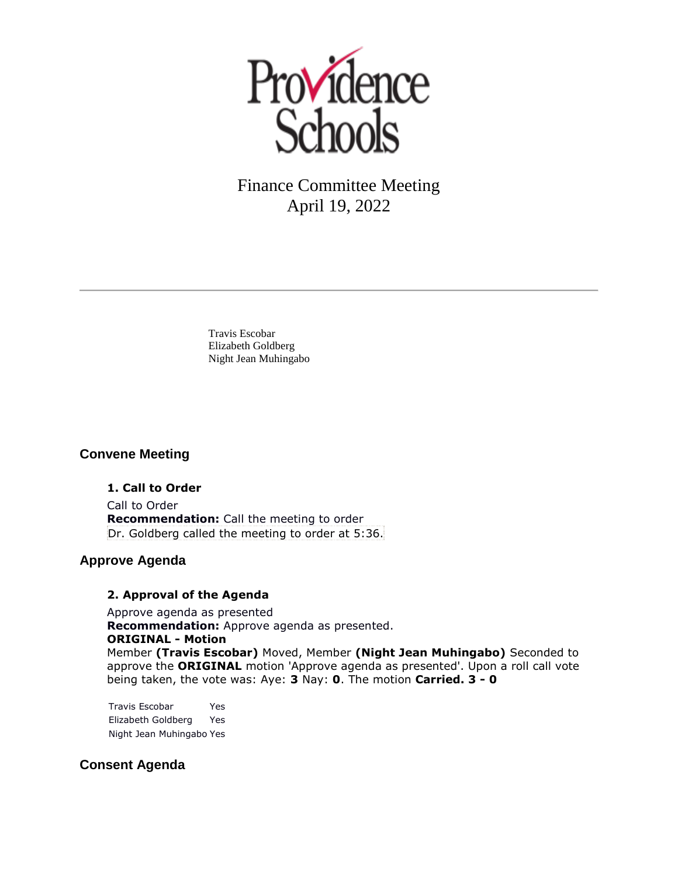

Travis Escobar Elizabeth Goldberg Night Jean Muhingabo

## **Convene Meeting**

**1. Call to Order** Call to Order **Recommendation:** Call the meeting to order Dr. Goldberg called the meeting to order at 5:36.

# **Approve Agenda**

#### **2. Approval of the Agenda**

Approve agenda as presented **Recommendation:** Approve agenda as presented. **ORIGINAL - Motion** Member **(Travis Escobar)** Moved, Member **(Night Jean Muhingabo)** Seconded to approve the **ORIGINAL** motion 'Approve agenda as presented'. Upon a roll call vote

being taken, the vote was: Aye: **3** Nay: **0**. The motion **Carried. 3 - 0** 

Travis Escobar Yes Elizabeth Goldberg Yes Night Jean Muhingabo Yes

# **Consent Agenda**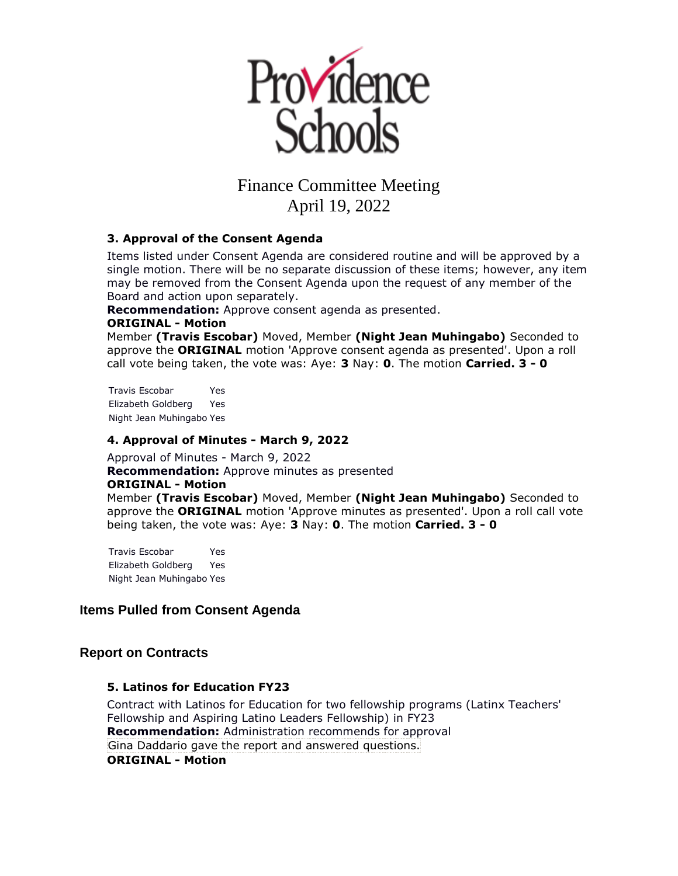

### **3. Approval of the Consent Agenda**

Items listed under Consent Agenda are considered routine and will be approved by a single motion. There will be no separate discussion of these items; however, any item may be removed from the Consent Agenda upon the request of any member of the Board and action upon separately.

**Recommendation:** Approve consent agenda as presented.

### **ORIGINAL - Motion**

Member **(Travis Escobar)** Moved, Member **(Night Jean Muhingabo)** Seconded to approve the **ORIGINAL** motion 'Approve consent agenda as presented'. Upon a roll call vote being taken, the vote was: Aye: **3** Nay: **0**. The motion **Carried. 3 - 0** 

Travis Escobar Yes Elizabeth Goldberg Yes Night Jean Muhingabo Yes

#### **4. Approval of Minutes - March 9, 2022**

Approval of Minutes - March 9, 2022 **Recommendation:** Approve minutes as presented **ORIGINAL - Motion** Member **(Travis Escobar)** Moved, Member **(Night Jean Muhingabo)** Seconded to approve the **ORIGINAL** motion 'Approve minutes as presented'. Upon a roll call vote being taken, the vote was: Aye: **3** Nay: **0**. The motion **Carried. 3 - 0** 

Travis Escobar Yes Elizabeth Goldberg Yes Night Jean Muhingabo Yes

# **Items Pulled from Consent Agenda**

## **Report on Contracts**

## **5. Latinos for Education FY23**

Contract with Latinos for Education for two fellowship programs (Latinx Teachers' Fellowship and Aspiring Latino Leaders Fellowship) in FY23 **Recommendation:** Administration recommends for approval Gina Daddario gave the report and answered questions. **ORIGINAL - Motion**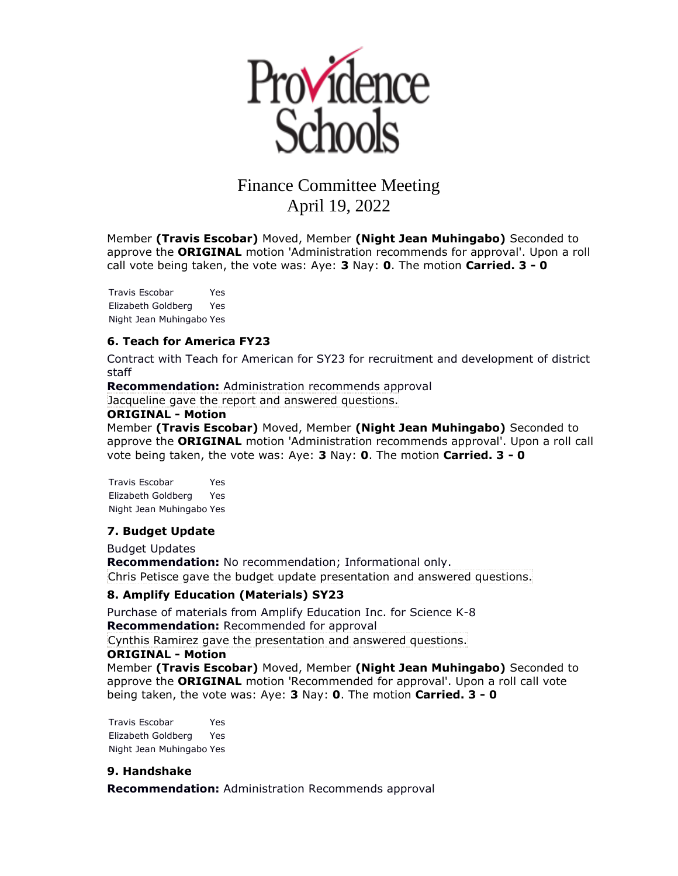

Member **(Travis Escobar)** Moved, Member **(Night Jean Muhingabo)** Seconded to approve the **ORIGINAL** motion 'Administration recommends for approval'. Upon a roll call vote being taken, the vote was: Aye: **3** Nay: **0**. The motion **Carried. 3 - 0** 

Travis Escobar Yes Elizabeth Goldberg Yes Night Jean Muhingabo Yes

#### **6. Teach for America FY23**

Contract with Teach for American for SY23 for recruitment and development of district staff

**Recommendation:** Administration recommends approval

Jacqueline gave the report and answered questions.

#### **ORIGINAL - Motion**

Member **(Travis Escobar)** Moved, Member **(Night Jean Muhingabo)** Seconded to approve the **ORIGINAL** motion 'Administration recommends approval'. Upon a roll call vote being taken, the vote was: Aye: **3** Nay: **0**. The motion **Carried. 3 - 0** 

Travis Escobar Yes Elizabeth Goldberg Yes Night Jean Muhingabo Yes

#### **7. Budget Update**

Budget Updates

**Recommendation:** No recommendation; Informational only. Chris Petisce gave the budget update presentation and answered questions.

#### **8. Amplify Education (Materials) SY23**

Purchase of materials from Amplify Education Inc. for Science K-8 **Recommendation:** Recommended for approval

Cynthis Ramirez gave the presentation and answered questions.

#### **ORIGINAL - Motion**

Member **(Travis Escobar)** Moved, Member **(Night Jean Muhingabo)** Seconded to approve the **ORIGINAL** motion 'Recommended for approval'. Upon a roll call vote being taken, the vote was: Aye: **3** Nay: **0**. The motion **Carried. 3 - 0** 

Travis Escobar Yes Elizabeth Goldberg Yes Night Jean Muhingabo Yes

#### **9. Handshake**

**Recommendation:** Administration Recommends approval